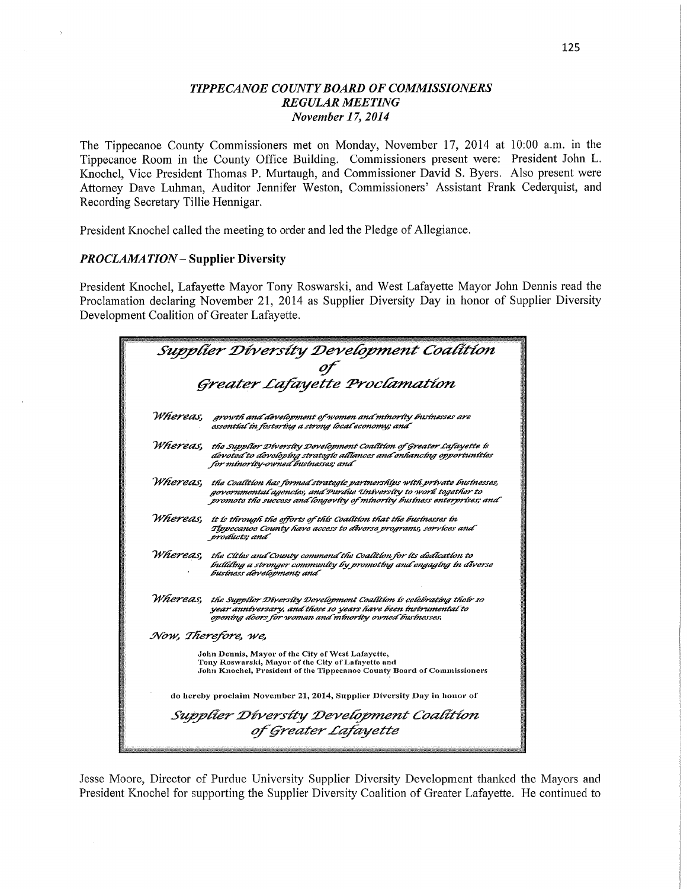### *T IPPE CANOE COUNTY BOARD* OF *COMMISSIONERS REGULAR MEETING November 1* 7, *2014*

The Tippecanoe County Commissioners met on Monday, November 17, 2014 at 10:00 am. in the Tippecanoe Room in the County Office Building. Commissioners present were: President John L. Knochel, Vice President Thomas P. Murtaugh, and Commissioner David S. Byers. Also present were Attorney Dave Luhman, Auditor Jennifer Weston, Commissioners' Assistant Frank Cederquist, and Recording Secretary Tillie Hennigar.

President Knochel called the meeting to order and led the Pledge of Allegiance.

#### *PROCLAMA TION* — **Supplier Diversity**

President Knochel, Lafayette Mayor Tony Roswarski, and West Lafayette Mayor John Dennis read the Proclamation declaring November 21, 2014 as Supplier Diversity Day in honor of Supplier Diversity Development Coalition of Greater Lafayette.

| Supplier Diversity Development Coalition |                                                                                                                                                                                                                                  |
|------------------------------------------|----------------------------------------------------------------------------------------------------------------------------------------------------------------------------------------------------------------------------------|
|                                          |                                                                                                                                                                                                                                  |
| y<br>Greater Lafayette Proclamation      |                                                                                                                                                                                                                                  |
|                                          | Whereas, growth and development of women and minority businesses are<br>essentlal in fostering a strong local economy; and                                                                                                       |
|                                          | Whereas, the supplier Diversity Development Coalition of Greater Lafayette is<br>devoted to developing strategic alliances and enhancing opportunities<br>for minority-owned businesses; and                                     |
|                                          | Whereas, the Coalition has formed strategic partnerships with private businesses,<br>governmental agencies, and Purdue University to work together to<br>promote the success and longevity of minority business enterprises; and |
|                                          | Whereas, it is through the efforts of this Coalition that the businesses in<br>Tippecanoe County have access to diverse programs, services and<br>products; and                                                                  |
|                                          | Whereas, the Cities and County commend the Coalition for its dedication to<br>building a stronger community by promoting and engaging in diverse<br>bustness development; and                                                    |
| Whereas.                                 | the Supplier Diversity Development Coalition is celebrating their 10<br>year anniversary, and those 10 years have been instrumental to<br>opening doors for woman and minority owned businesses.                                 |
|                                          | Now, Therefore, we,                                                                                                                                                                                                              |
|                                          | John Dennis, Mayor of the City of West Lafayette,<br>Tony Roswarski, Mayor of the City of Lafayette and<br>John Knochel, President of the Tippecanoe County Board of Commissioners                                               |
|                                          | do hereby proclaim November 21, 2014, Supplier Diversity Day in honor of                                                                                                                                                         |
|                                          | Supplier Diversity Development Coalition                                                                                                                                                                                         |
|                                          | of Greater Lafayette                                                                                                                                                                                                             |

Jesse Moore, Director of Purdue University Supplier Diversity Development thanked the Mayors and President Knochel for supporting the Supplier Diversity Coalition of Greater Lafayette. He continued to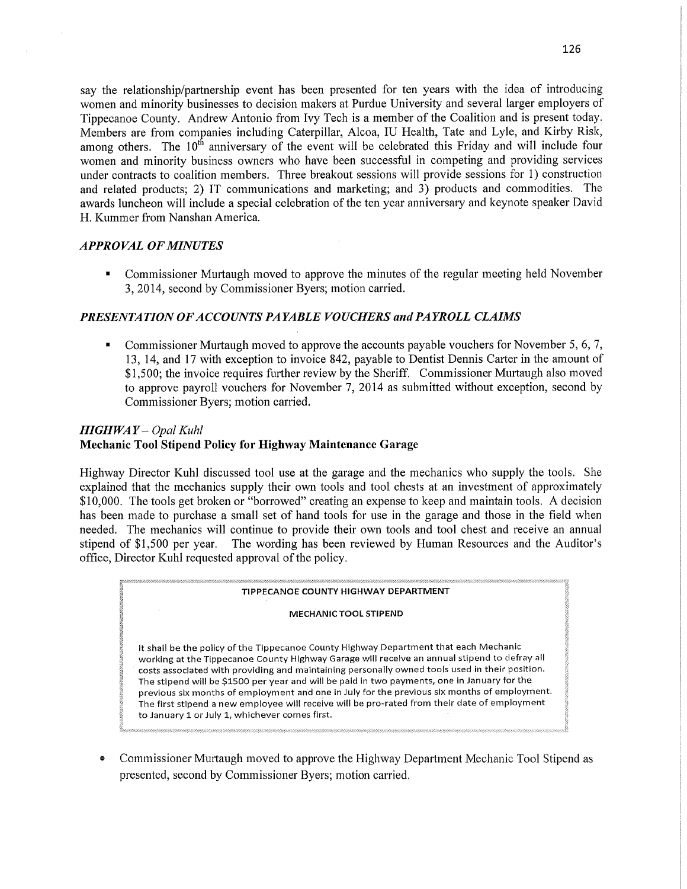say the relationship/partnership event has been presented for ten years with the idea of introducing women and minority businesses to decision makers at Purdue University and several larger employers of Tippecanoe County. Andrew Antonio from Ivy Tech is a member of the Coalition and is present today. Members are from companies including Caterpillar, Alcoa, IU Health, Tate and Lyle, and Kirby Risk, among others. The  $10<sup>th</sup>$  anniversary of the event will be celebrated this Friday and will include four women and minority business owners who have been successful in competing and providing services under contracts to coalition members. Three breakout sessions will provide sessions for 1) construction and related products; 2) IT communications and marketing; and 3) products and commodities. The awards luncheon will include a special celebration of the ten year anniversary and keynote speaker David H. Kummer from Nanshan America.

#### *APPRO* VAL OF *MINUTES*

**I.** Commissioner Murtaugh moved to approve the minutes of the regular meeting held November 3, 2014, second by Commissioner Byers; motion carried.

#### *PRESENTATION* OF *A* CCO *UNTS* PA *YABLE VOUCHERS* and *PAYROLL CLAIMS*

**ICOMMISSIONER Murtaugh moved to approve the accounts payable vouchers for November 5, 6, 7,**  $\sigma$ 13, 14, and 17 with exception to invoice 842, payable to Dentist Dennis Carter in the amount of \$1,500; the invoice requires further review by the Sheriff. Commissioner Murtaugh also moved to **approve** payroll vouchers for November 7, 2014 as submitted without exception, second by Commissioner Byers; motion carried.

# *HIGH* WA *Y* **—** *Opal Kuhl*  **Mechanic Tool Stipend Policy** for **Highway Maintenance Garage**

Highway Director Kuhl discussed tool use at the garage and the mechanics who supply the tools. She explained that the mechanics supply their own tools and tool chests at an investment of approximately \$10,000. The tools get broken or "borrowed" creating an expense to keep and maintain tools. **A** decision has been made to purchase **a** small set of hand tools for use in the garage and those in the field when needed. The mechanics will continue to provide their own tools and tool chest and receive an annual stipend of \$1,500 per year. The wording has been reviewed by Human Resources and the **Auditor's**  office, Director Kuhl requested approval of the policy.

#### **TIPPECANOE COUNTY HIGHWAY DEPARTMENT**

#### MECHANIC **TOOL STIPEND**

It **shall** be the pollcy of the Tippecanoe County Highway **Department that** each Mechanic working at the Tippecanoe County Highway Garage will receive an annual stipend to defray all **" costs** associated with providing and maintaining personally owned tools used In thelr position. The stipend will be **\$1500** per year and will. be **pald** in two payments, one In January for the previous six months of employment and one in July for the previous six months of employment. The first stipend **<sup>a</sup>**new employee will **receive** will be pro—rated from their date of employment to January **<sup>1</sup>**or July 1, whichever **comes first.** 

*0* Commissioner Murtaugh moved to approve the Highway Department Mechanic Tool Stipend as presented, second by Commissioner Byers; motion carried.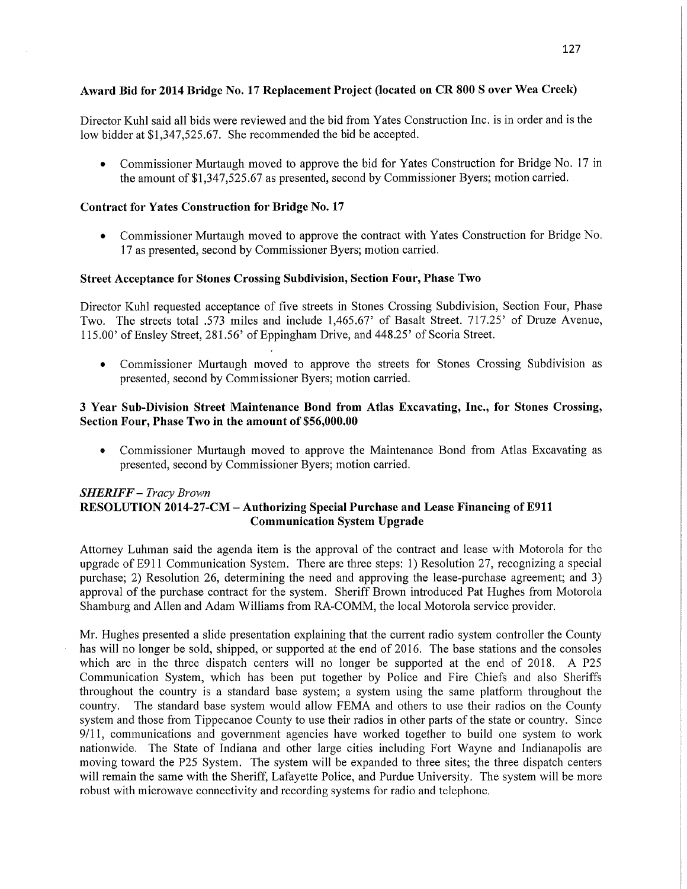### **Award** Bid for **2014 Bridge** N0. 17 Replacement **Project** (located on CR 800 **S over** Wea **Creek)**

Director Kuhl said all bids were reviewed and the bid from Yates Construction Inc. is in order and is the low bidder at \$1,347,525.67. She recommended the bid be accepted.

• Commissioner Murtaugh moved to approve the bid for Yates Construction for Bridge No. 17 in the amount of \$1,347,525.67 as presented, second by Commissioner Byers; motion carried.

#### **Contract** for **Yates Construction** for **Bridge** No. 17

**0** Commissioner Murtaugh moved to approve the contract with Yates Construction for Bridge No. 17 as presented, second by Commissioner Byers; motion carried.

#### **Street Acceptance for Stones Crossing Subdivision, Section Four, Phase Two**

Director Kuhl requested acceptance of five streets in Stones Crossing Subdivision, Section Four, Phase Two. The streets total .573 miles and include 1,465.67' of Basalt Street. 717.25' of Druze Avenue, 115.00' of Ensley Street, 281.56' of Eppingham Drive, and 448.25' of Scoria Street.

**0** Commissioner Murtaugh moved to approve the streets for Stones Crossing Subdivision as presented, second by Commissioner Byers; motion carried.

#### 3 **Year** Sub-Division **Street Maintenance Bond** from **Atlas Excavating, Inc.,** for Stones Crossing, **Section Four, Phase** Two in the **amount** of **\$56,000.00**

*0* Commissioner Murtaugh moved to approve the Maintenance Bond from Atlas Excavating as presented, second by Commissioner Byers; motion carried.

#### *SHERIFF* — *Tracy Brown*  **RESOLUTION 2014-27-CM** — **Authorizing Special Purchase** and **Lease Financing** of E911 Communication **System Upgrade**

Attorney Luhman said the agenda item is the approval of the contract and lease with Motorola for the upgrade of E911 Communication System. There are three steps: 1) Resolution 27, recognizing a special purchase; 2) Resolution 26, determining the need and approving the lease-purchase agreement; and 3) approval of the purchase contract for the system. Sheriff Brown introduced Pat Hughes from Motorola Shamburg and Allen and Adam Williams from RA—COMM, the local Motorola service provider.

Mr. Hughes presented a slide presentation explaining that the current radio system controller the County has will no longer be sold, shipped, or supported at the end of 2016. The base stations and the consoles which are in the three dispatch centers will no longer be supported at the end of 2018. A P25 Communication System, which has been put together by Police and Fire Chiefs and also Sheriffs throughout the country is a standard base system; a system using the same platform throughout the country. The standard base system would allow FEMA and others to use their radios on the County system and those from Tippecanoe County to use their radios in other parts of the state or country. Since 9/11, communications and government agencies have worked together to build one system to work nationwide. The State of Indiana and other large cities including Fort Wayne and Indianapolis are moving toward the P25 System. The system will be expanded to three sites; the three dispatch centers will remain the same with the Sheriff, Lafayette Police, and Purdue University. The system will be more robust with microwave connectivity and recording systems for radio and telephone.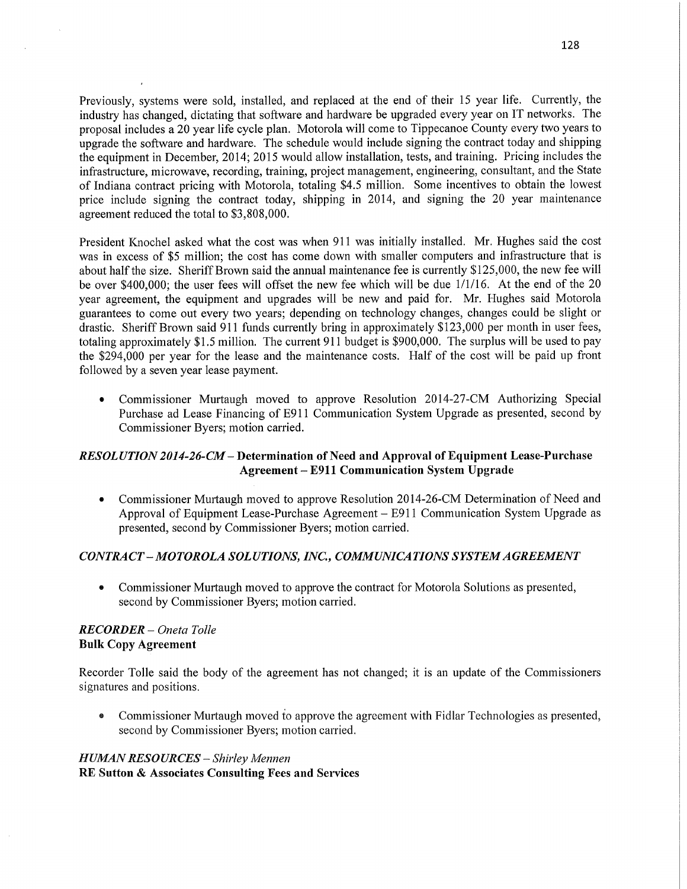Previously, systems were sold, installed, and replaced at the end of their 15 year life. Currently, the industry has changed, dictating that software and hardware be upgraded every year on IT networks. The proposal includes a 20 year life cycle plan. Motorola will come to Tippecanoe County every two years to upgrade the software and hardware. The schedule would include signing the contract today and shipping the equipment in December, 2014; 2015 would allow installation, tests, and training. Pricing includes the infrastructure, microwave, recording, training, project management, engineering, consultant, and the State of Indiana contract pricing with Motorola, totaling \$4.5 million. Some incentives to obtain the lowest price include signing the contract today, shipping in 2014, and signing the 20 year maintenance agreement reduced the total to \$3,808,000.

President Knochel asked what the cost was when 911 was initially installed. Mr. Hughes said the cost was in excess of \$5 million; the cost has come down with smaller computers and infrastructure that is about half the **size.** Sheriff Brown said the annual maintenance fee is currently \$125,000, the new fee will be over \$400,000; the user fees will offset the new fee which will be due 1/1/16. At the end of the 20 year agreement, the equipment and upgrades will be new and paid for. Mr. Hughes said Motorola guarantees to come out every two years; depending on technology changes, changes could be slight or drastic. Sheriff Brown said 911 funds currently bring in approximately \$123,000 per month in user fees, **totaling** approximately **\$1.5** million. The current 911 budget is \$900,000. The surplus will be used to pay the \$294,000 per year for the lease and the maintenance costs. Half of the cost will be paid up front followed by a seven year lease payment.

**0** Commissioner Murtaugh moved to approve Resolution 2014—27—CM Authorizing Special Purchase ad Lease Financing of E911 Communication System Upgrade as presented, second by Commissioner Byers; motion carried.

### *RESOLUTION 2014-26-CM—* **Determination** of **Need** and **Approval** of **Equipment Lease-Purchase Agreement — E911 Communication System Upgrade**

**0** Commissioner Murtaugh moved to approve Resolution 2014—26-CM Determination of Need and Approval of Equipment Lease-Purchase Agreement — B911 Communication System Upgrade as presented, second by Commissioner Byers; motion carried.

### *CONTRACT* — *MOTOROLA* SOL *U T IONS, INC. , COMM* UNI CA *TIONS SYSTEM A GREEMEN T*

*0* Commissioner Murtaugh moved to approve the **contract** for Motorola Solutions as presented, second by Commissioner Byers; motion carried.

# *RECORDER* — *Oneta Tolle*  **Bulk Copy Agreement**

Recorder Tolle said the body of the agreement has not changed; it is an update of the Commissioners signatures and positions.

**0** Commissioner Murtaugh moved f0 approve the agreemen<sup>t</sup>with Fidlar Technologies as presented, second by Commissioner Byers; motion carried.

### *H UIMAN RESOURCES — Shirley Mermen*

RE **Sutton & Associates** Consulting **Fees** and **Services**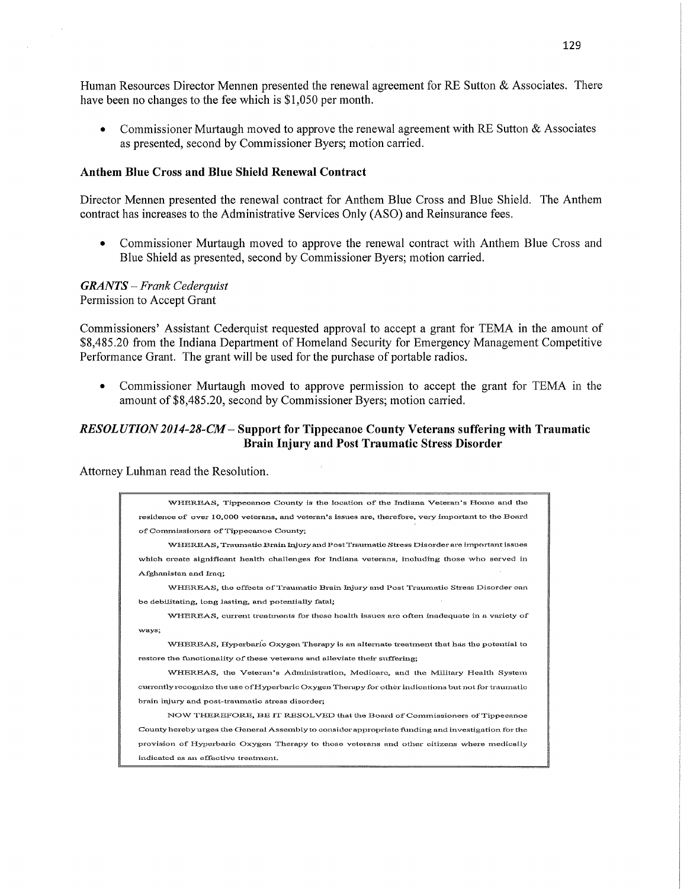Human Resources Director Mennen presented the renewal agreement for RE Sutton & Associates. There have been no changes to the fee which is \$1,050 per month.

**0** Commissioner Murtaugh moved to approve the renewal agreement with RE Sutton & Associates as presented, second by Commissioner Byers; motion carried.

#### **Anthem Blue Cross** and Blue **Shield** Renewal **Contract**

Director Mennen presented the renewal contract for Anthem Blue Cross and Blue Shield. The Anthem contract has increases to the Administrative Services Only (A80) and Reinsurance fees.

**0** Commissioner Murtaugh moved to approve the renewal contract with Anthem Blue Cross and Blue Shield as presented, second by Commissioner Byers; motion carried.

#### *GRANTS — Frank Cederquist*

Permission to Accept Grant

Commissioners' Assistant Cederquist requested approval to accept <sup>a</sup>grant for TEMA in the amount of \$8,485.20 from the Indiana Department of Homeland Security for Emergency Management Competitive Performance Grant. The grant will be used for the purchase of portable radios.

**0** Commissioner Murtaugh moved to approve permission to accept the grant for TEMA in the amount of \$8,485.20, second by Commissioner Byers; motion carried.

#### *RESOLUTION 2014—28-CM—* **Support** for **Tippecanoe County Veterans suffering with Traumatic Brain Injury** and **Post Traumatic Stress Disorder**

Attorney Luhman read the Resolution.

WHEREAS, **Tippecanoe County** is the **location** of the Indiana **Veteran's** Home and the **residence** of over 10,000 veterans. and **veteran's** issues are, **therefore, very** important to the Board of Commissioners of Tippecanoe **County;** *.* **WHEREAS, Traurnaflo Brain** InJury and PostTraumatic **Stress Disorder** are **important** issuers which create **significant** health **challenges** for **Indiana** veterans, **including** those who **served** in Afghanistan and **Iraq;**  WHEREAS, the effects **of'l'ruumntic** Brain Injury and Post Traumatic **Stress** Disorder can be debilitating, long lasting, and potentially fatal; W'HEREAS, **current treatments** for these **health** issues are **often** inadequate in **a** variety of **ways;**  WHEREAS, Hyperbarl'c Oxygen Therapy is an alternate **treatment that** bus the potential to restore the **functionality** of **these** veterans and alleviate **their suffering;**  WHEREAS, the Veteran's Administration, Medicare, and the Military Health System currently recognize the use of Hyperbaric Oxygen Therapy for other indications but not for traumatio brain **injury** and. **post-traumatic stress** disorder; NOW THEREFORE, BE IT RESOLVED that the Board of Commissioners of Tippecanoe Countyhercby **urges** the General **Assalnbly** to considerappropriate flunding and **investigation** for the provision of Hyperbaxio Oxygen **Therapy** to **those veterans** and **other** citizens **where** medically **indicatad** as an **effective** trentrnent.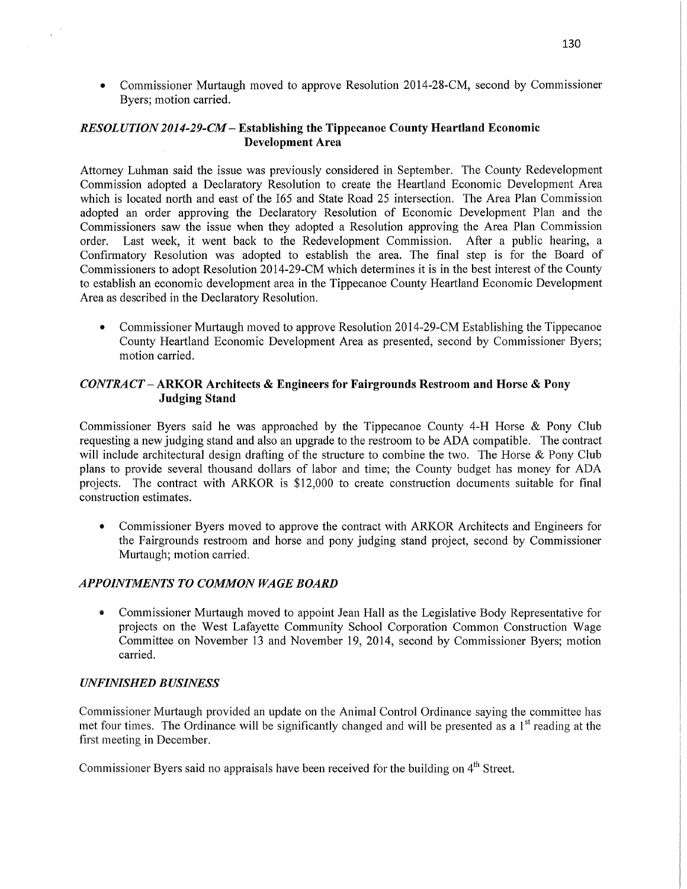**0** Commissioner Murtaugh moved to approve Resolution 2014-28-CM, second by Commissioner Byers; motion carried.

### *RESOLUTION 2014-29-CM—* **Establishing** the **Tippecanoe County Heartland** Economic Development **Area**

Attorney Luhman said the issue was previously considered in September. The County Redevelopment Commission adopted a Declaratory Resolution to create the Heartland Economic Development Area which is located north and east of the I65 and State Road 25 intersection. The Area Plan Commission adopted an order approving the Declaratory Resolution of Economic Development Plan and the Commissioners saw the issue when they adopted a Resolution approving the Area Plan Commission order. Last week, it went back to the Redevelopment Commission. After a public hearing, <sup>a</sup> Confirmatory Resolution was adopted to establish the area. The final step is for the Board of Commissioners to adopt Resolution 2014-29-CM which determines it is in the best interest of the County to establish an economic development area in the Tippecanoe County Heartland Economic Development Area as described in the Declaratory Resolution.

**0** Commissioner Murtaugh moved to approve Resolution 2014-29—CM Establishing the Tippecanoe County Heartland Economic Development Area as presented, second by Commissioner Byers; motion carried.

# *CONTRACT* **— ARKOR Architects & Engineers** for **Fairgrounds Restroom** and **Horse & Pony Judging Stand**

Commissioner Byers said he was approached by the Tippecanoe County 4-H Horse & Pony Club requesting <sup>a</sup>new judging stand and also an upgrade to the restroom to be ADA compatible. The contract will include architectural design drafting of the structure to combine the two. The Horse & Pony Club plans to provide several thousand dollars of labor and time; the County budget has money for ADA projects. The contract with ARKOR is \$12,000 to create construction documents suitable for final construction estimates.

**0** Commissioner Byers moved to approve the contract with ARKOR Architects and Engineers for the Fairgrounds restroom and horse and pony judging stand project, second by Commissioner Murtaugh; motion carried.

### *APPOINTMENTS TO COMMON WAGE BOARD*

**0** Commissioner Murtaugh moved to appoint Jean Hall as the Legislative Body Representative for projects on the West Lafayette Community School Corporation Common Construction Wage Committee on November 13 and November 19, 2014, second by Commissioner Byers; motion carried.

#### *UNFINISHED B USINESS*

Commissioner Murtaugh provided an update on the Animal Control Ordinance saying the committee has met four times. The Ordinance will be significantly changed and will be presented as a 1<sup>st</sup> reading at the first meeting in December.

Commissioner Byers said no appraisals have been received for the building on  $4<sup>th</sup>$  Street.